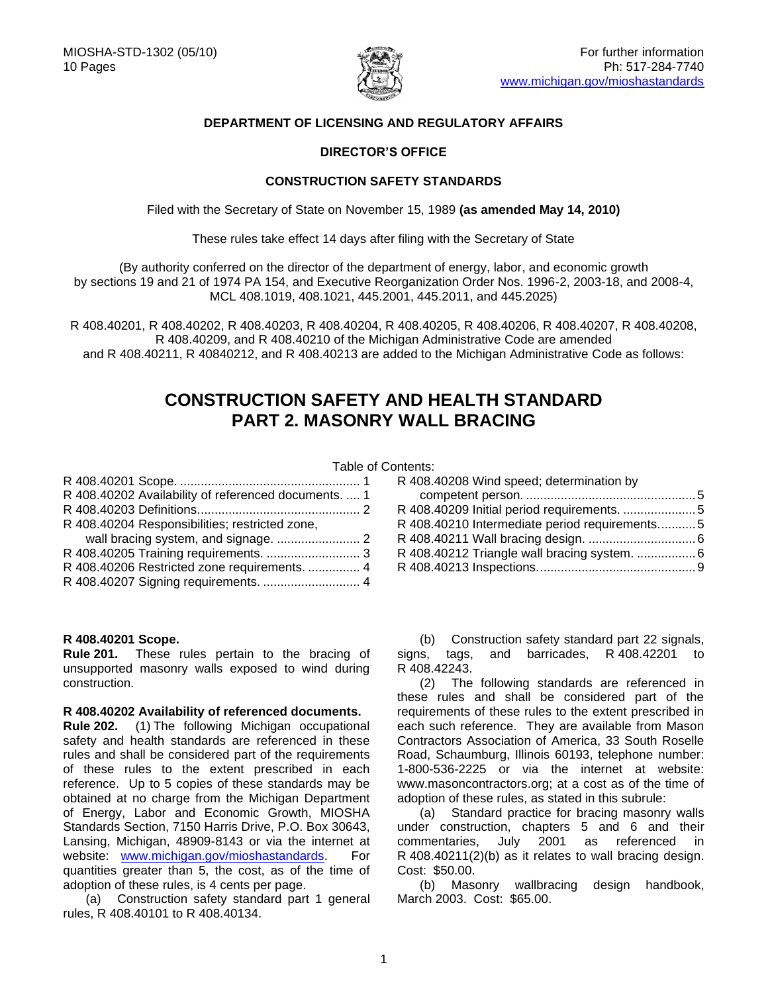

# **DEPARTMENT OF LICENSING AND REGULATORY AFFAIRS**

## **DIRECTOR'S OFFICE**

## **CONSTRUCTION SAFETY STANDARDS**

Filed with the Secretary of State on November 15, 1989 **(as amended May 14, 2010)**

These rules take effect 14 days after filing with the Secretary of State

(By authority conferred on the director of the department of energy, labor, and economic growth by sections 19 and 21 of 1974 PA 154, and Executive Reorganization Order Nos. 1996-2, 2003-18, and 2008-4, MCL 408.1019, 408.1021, 445.2001, 445.2011, and 445.2025)

R 408.40201, R 408.40202, R 408.40203, R 408.40204, R 408.40205, R 408.40206, R 408.40207, R 408.40208, R 408.40209, and R 408.40210 of the Michigan Administrative Code are amended and R 408.40211, R 40840212, and R 408.40213 are added to the Michigan Administrative Code as follows:

# **CONSTRUCTION SAFETY AND HEALTH STANDARD PART 2. MASONRY WALL BRACING**

#### Table of Contents:

| R 408.40202 Availability of referenced documents.  1 |  |
|------------------------------------------------------|--|
|                                                      |  |
| R 408.40204 Responsibilities; restricted zone,       |  |
|                                                      |  |
|                                                      |  |
| R 408.40206 Restricted zone requirements.  4         |  |
|                                                      |  |
|                                                      |  |

#### <span id="page-0-0"></span>**R 408.40201 Scope.**

**Rule 201.** These rules pertain to the bracing of unsupported masonry walls exposed to wind during construction.

#### <span id="page-0-1"></span>**R 408.40202 Availability of referenced documents.**

**Rule 202.** (1) The following Michigan occupational safety and health standards are referenced in these rules and shall be considered part of the requirements of these rules to the extent prescribed in each reference. Up to 5 copies of these standards may be obtained at no charge from the Michigan Department of Energy, Labor and Economic Growth, MIOSHA Standards Section, 7150 Harris Drive, P.O. Box 30643, Lansing, Michigan, 48909-8143 or via the internet at website: [www.michigan.gov/mioshastandards.](http://www.michigan.gov/mioshastandards) For quantities greater than 5, the cost, as of the time of adoption of these rules, is 4 cents per page.

(a) Construction safety standard part 1 general rules, R 408.40101 to R 408.40134.

|  | R 408.40208 Wind speed; determination by      |  |
|--|-----------------------------------------------|--|
|  |                                               |  |
|  | R 408.40209 Initial period requirements.  5   |  |
|  | R 408.40210 Intermediate period requirements5 |  |
|  |                                               |  |
|  | R 408.40212 Triangle wall bracing system.  6  |  |
|  |                                               |  |

(b) Construction safety standard part 22 signals, signs, tags, and barricades, R 408.42201 to R 408.42243.

(2) The following standards are referenced in these rules and shall be considered part of the requirements of these rules to the extent prescribed in each such reference. They are available from Mason Contractors Association of America, 33 South Roselle Road, Schaumburg, Illinois 60193, telephone number: 1-800-536-2225 or via the internet at website: www.masoncontractors.org; at a cost as of the time of adoption of these rules, as stated in this subrule:

(a) Standard practice for bracing masonry walls under construction, chapters 5 and 6 and their commentaries, July 2001 as referenced in R 408.40211(2)(b) as it relates to wall bracing design. Cost: \$50.00.

(b) Masonry wallbracing design handbook, March 2003. Cost: \$65.00.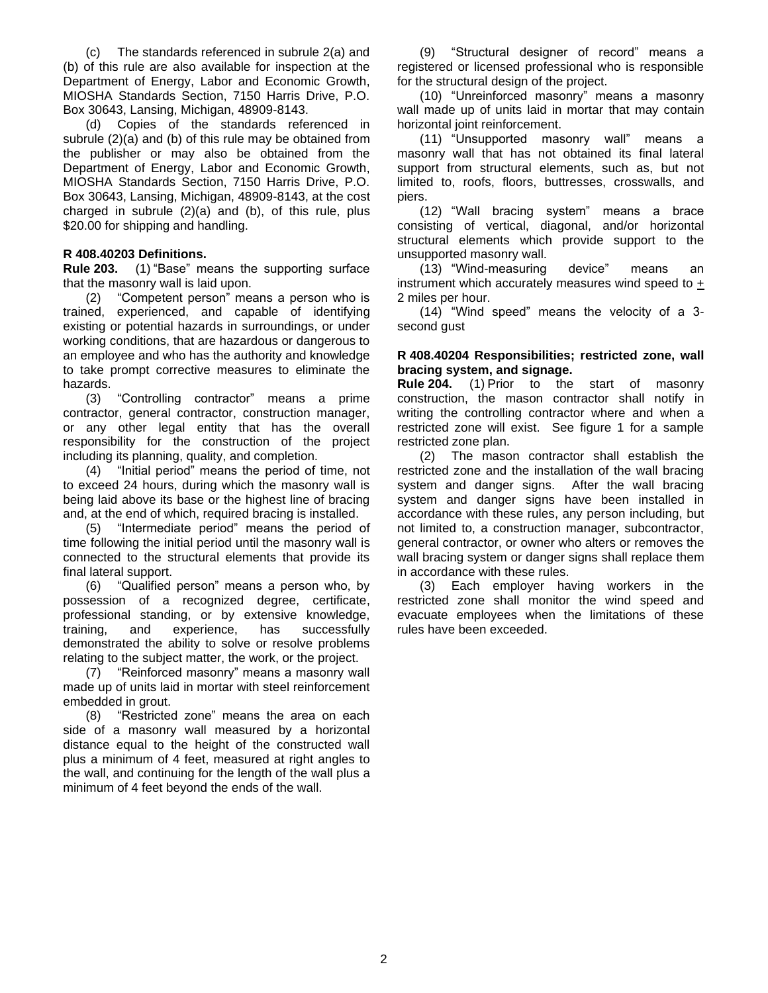(c) The standards referenced in subrule 2(a) and (b) of this rule are also available for inspection at the Department of Energy, Labor and Economic Growth, MIOSHA Standards Section, 7150 Harris Drive, P.O. Box 30643, Lansing, Michigan, 48909-8143.

(d) Copies of the standards referenced in subrule (2)(a) and (b) of this rule may be obtained from the publisher or may also be obtained from the Department of Energy, Labor and Economic Growth, MIOSHA Standards Section, 7150 Harris Drive, P.O. Box 30643, Lansing, Michigan, 48909-8143, at the cost charged in subrule (2)(a) and (b), of this rule, plus \$20.00 for shipping and handling.

# <span id="page-1-0"></span>**R 408.40203 Definitions.**

**Rule 203.** (1) "Base" means the supporting surface that the masonry wall is laid upon.

(2) "Competent person" means a person who is trained, experienced, and capable of identifying existing or potential hazards in surroundings, or under working conditions, that are hazardous or dangerous to an employee and who has the authority and knowledge to take prompt corrective measures to eliminate the hazards.

(3) "Controlling contractor" means a prime contractor, general contractor, construction manager, or any other legal entity that has the overall responsibility for the construction of the project including its planning, quality, and completion.

(4) "Initial period" means the period of time, not to exceed 24 hours, during which the masonry wall is being laid above its base or the highest line of bracing and, at the end of which, required bracing is installed.

(5) "Intermediate period" means the period of time following the initial period until the masonry wall is connected to the structural elements that provide its final lateral support.

(6) "Qualified person" means a person who, by possession of a recognized degree, certificate, professional standing, or by extensive knowledge, training, and experience, has successfully demonstrated the ability to solve or resolve problems relating to the subject matter, the work, or the project.

(7) "Reinforced masonry" means a masonry wall made up of units laid in mortar with steel reinforcement embedded in grout.

(8) "Restricted zone" means the area on each side of a masonry wall measured by a horizontal distance equal to the height of the constructed wall plus a minimum of 4 feet, measured at right angles to the wall, and continuing for the length of the wall plus a minimum of 4 feet beyond the ends of the wall.

(9) "Structural designer of record" means a registered or licensed professional who is responsible for the structural design of the project.

(10) "Unreinforced masonry" means a masonry wall made up of units laid in mortar that may contain horizontal joint reinforcement.

(11) "Unsupported masonry wall" means a masonry wall that has not obtained its final lateral support from structural elements, such as, but not limited to, roofs, floors, buttresses, crosswalls, and piers.

(12) "Wall bracing system" means a brace consisting of vertical, diagonal, and/or horizontal structural elements which provide support to the unsupported masonry wall.

(13) "Wind-measuring device" means an instrument which accurately measures wind speed to  $+$ 2 miles per hour.

(14) "Wind speed" means the velocity of a 3 second gust

# <span id="page-1-1"></span>**R 408.40204 Responsibilities; restricted zone, wall bracing system, and signage.**

**Rule 204.** (1) Prior to the start of masonry construction, the mason contractor shall notify in writing the controlling contractor where and when a restricted zone will exist. See figure 1 for a sample restricted zone plan.

(2) The mason contractor shall establish the restricted zone and the installation of the wall bracing system and danger signs. After the wall bracing system and danger signs have been installed in accordance with these rules, any person including, but not limited to, a construction manager, subcontractor, general contractor, or owner who alters or removes the wall bracing system or danger signs shall replace them in accordance with these rules.

(3) Each employer having workers in the restricted zone shall monitor the wind speed and evacuate employees when the limitations of these rules have been exceeded.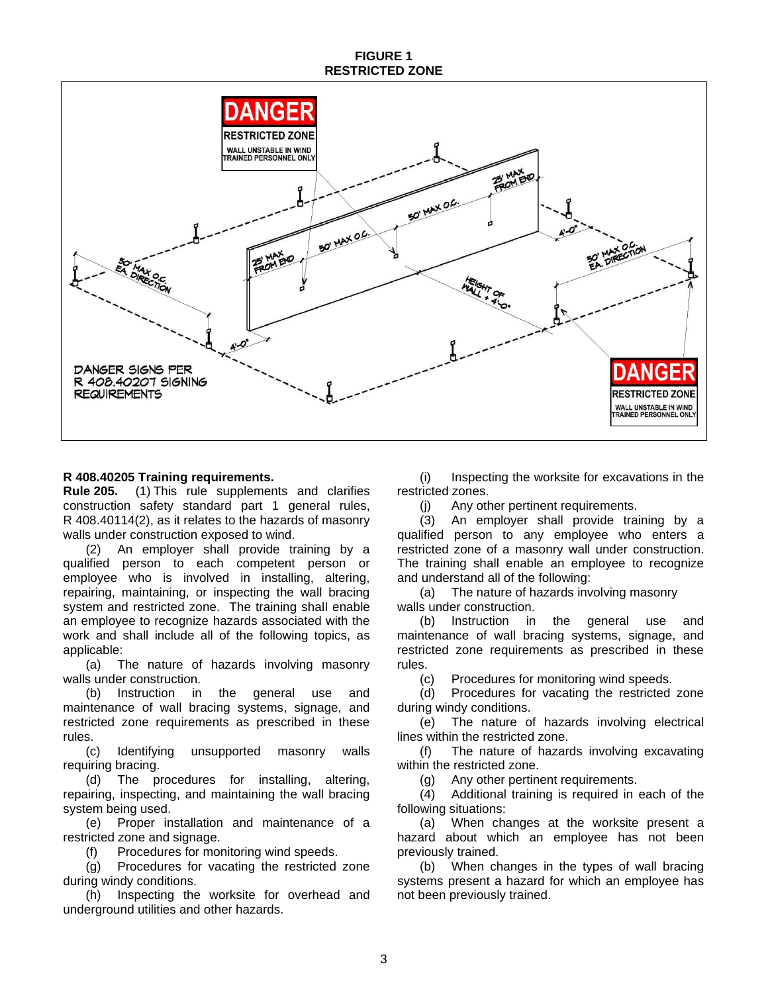## **FIGURE 1 RESTRICTED ZONE**



# <span id="page-2-0"></span>**R 408.40205 Training requirements.**

**Rule 205.** (1) This rule supplements and clarifies construction safety standard part 1 general rules, R 408.40114(2), as it relates to the hazards of masonry walls under construction exposed to wind.

(2) An employer shall provide training by a qualified person to each competent person or employee who is involved in installing, altering, repairing, maintaining, or inspecting the wall bracing system and restricted zone. The training shall enable an employee to recognize hazards associated with the work and shall include all of the following topics, as applicable:

(a) The nature of hazards involving masonry walls under construction.

(b) Instruction in the general use and maintenance of wall bracing systems, signage, and restricted zone requirements as prescribed in these rules.

(c) Identifying unsupported masonry walls requiring bracing.

(d) The procedures for installing, altering, repairing, inspecting, and maintaining the wall bracing system being used.

(e) Proper installation and maintenance of a restricted zone and signage.

(f) Procedures for monitoring wind speeds.

(g) Procedures for vacating the restricted zone during windy conditions.

(h) Inspecting the worksite for overhead and underground utilities and other hazards.

(i) Inspecting the worksite for excavations in the restricted zones.

(j) Any other pertinent requirements.

(3) An employer shall provide training by a qualified person to any employee who enters a restricted zone of a masonry wall under construction. The training shall enable an employee to recognize and understand all of the following:

(a) The nature of hazards involving masonry walls under construction.

(b) Instruction in the general use and maintenance of wall bracing systems, signage, and restricted zone requirements as prescribed in these rules.

(c) Procedures for monitoring wind speeds.

(d) Procedures for vacating the restricted zone during windy conditions.

(e) The nature of hazards involving electrical lines within the restricted zone.

(f) The nature of hazards involving excavating within the restricted zone.

(g) Any other pertinent requirements.

(4) Additional training is required in each of the following situations:

(a) When changes at the worksite present a hazard about which an employee has not been previously trained.

(b) When changes in the types of wall bracing systems present a hazard for which an employee has not been previously trained.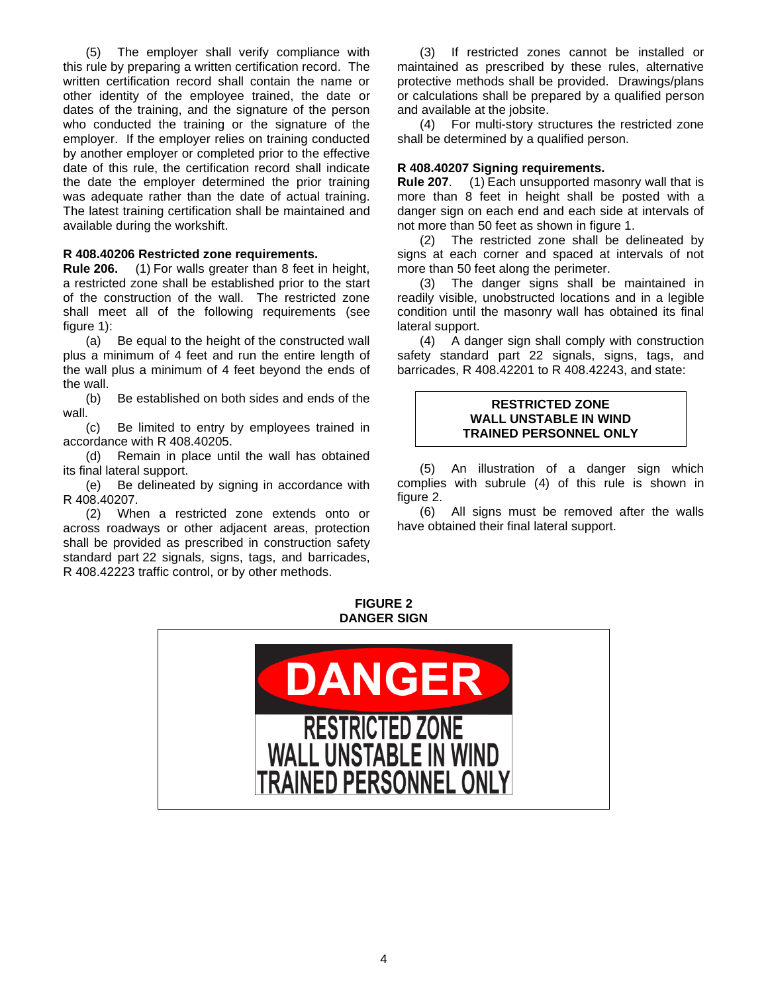(5) The employer shall verify compliance with this rule by preparing a written certification record. The written certification record shall contain the name or other identity of the employee trained, the date or dates of the training, and the signature of the person who conducted the training or the signature of the employer. If the employer relies on training conducted by another employer or completed prior to the effective date of this rule, the certification record shall indicate the date the employer determined the prior training was adequate rather than the date of actual training. The latest training certification shall be maintained and available during the workshift.

#### <span id="page-3-0"></span>**R 408.40206 Restricted zone requirements.**

**Rule 206.** (1) For walls greater than 8 feet in height, a restricted zone shall be established prior to the start of the construction of the wall. The restricted zone shall meet all of the following requirements (see figure 1):

(a) Be equal to the height of the constructed wall plus a minimum of 4 feet and run the entire length of the wall plus a minimum of 4 feet beyond the ends of the wall.

(b) Be established on both sides and ends of the wall.

(c) Be limited to entry by employees trained in accordance with R 408.40205.

(d) Remain in place until the wall has obtained its final lateral support.

(e) Be delineated by signing in accordance with R 408.40207.

(2) When a restricted zone extends onto or across roadways or other adjacent areas, protection shall be provided as prescribed in construction safety standard part 22 signals, signs, tags, and barricades, R 408.42223 traffic control, or by other methods.

(3) If restricted zones cannot be installed or maintained as prescribed by these rules, alternative protective methods shall be provided. Drawings/plans or calculations shall be prepared by a qualified person and available at the jobsite.

(4) For multi-story structures the restricted zone shall be determined by a qualified person.

#### <span id="page-3-1"></span>**R 408.40207 Signing requirements.**

**Rule 207**. (1) Each unsupported masonry wall that is more than 8 feet in height shall be posted with a danger sign on each end and each side at intervals of not more than 50 feet as shown in figure 1.

(2) The restricted zone shall be delineated by signs at each corner and spaced at intervals of not more than 50 feet along the perimeter.

(3) The danger signs shall be maintained in readily visible, unobstructed locations and in a legible condition until the masonry wall has obtained its final lateral support.

(4) A danger sign shall comply with construction safety standard part 22 signals, signs, tags, and barricades, R 408.42201 to R 408.42243, and state:

#### **RESTRICTED ZONE WALL UNSTABLE IN WIND TRAINED PERSONNEL ONLY**

(5) An illustration of a danger sign which complies with subrule (4) of this rule is shown in figure 2.

(6) All signs must be removed after the walls have obtained their final lateral support.

**FIGURE 2 DANGER SIGN**

<span id="page-3-2"></span>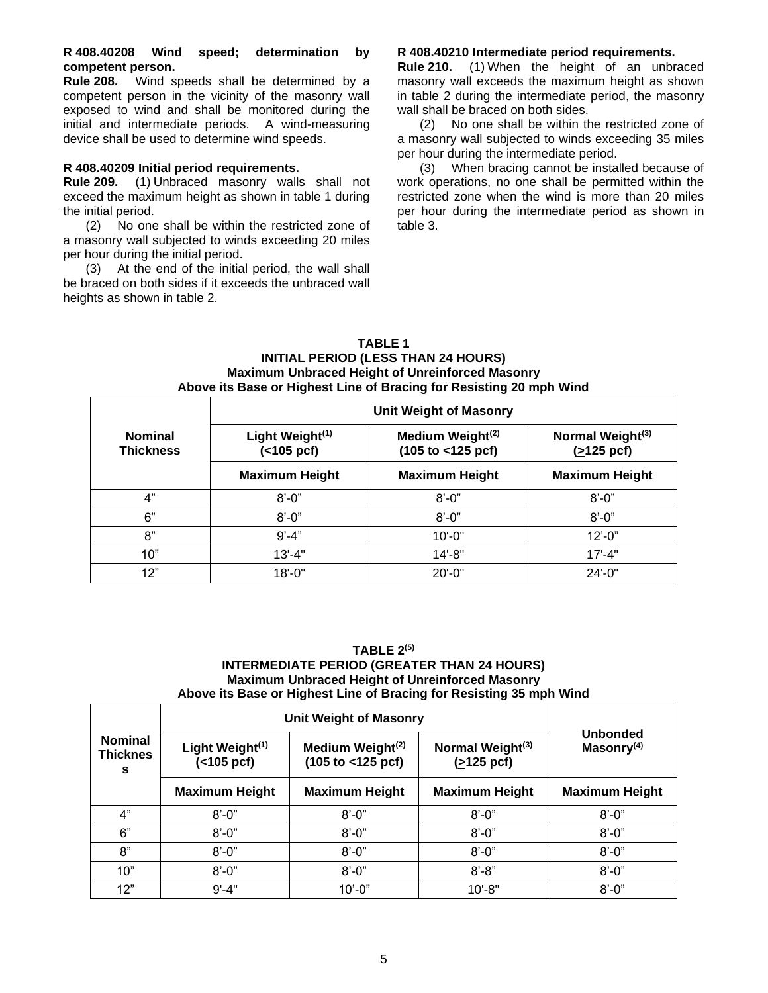#### **R 408.40208 Wind speed; determination by competent person.**

**Rule 208.** Wind speeds shall be determined by a competent person in the vicinity of the masonry wall exposed to wind and shall be monitored during the initial and intermediate periods. A wind-measuring device shall be used to determine wind speeds.

### <span id="page-4-0"></span>**R 408.40209 Initial period requirements.**

**Rule 209.** (1) Unbraced masonry walls shall not exceed the maximum height as shown in table 1 during the initial period.

(2) No one shall be within the restricted zone of a masonry wall subjected to winds exceeding 20 miles per hour during the initial period.

(3) At the end of the initial period, the wall shall be braced on both sides if it exceeds the unbraced wall heights as shown in table 2.

# <span id="page-4-1"></span>**R 408.40210 Intermediate period requirements.**

**Rule 210.** (1) When the height of an unbraced masonry wall exceeds the maximum height as shown in table 2 during the intermediate period, the masonry wall shall be braced on both sides.

(2) No one shall be within the restricted zone of a masonry wall subjected to winds exceeding 35 miles per hour during the intermediate period.

(3) When bracing cannot be installed because of work operations, no one shall be permitted within the restricted zone when the wind is more than 20 miles per hour during the intermediate period as shown in table 3.

### **TABLE 1 INITIAL PERIOD (LESS THAN 24 HOURS) Maximum Unbraced Height of Unreinforced Masonry Above its Base or Highest Line of Bracing for Resisting 20 mph Wind**

|                                    | <b>Unit Weight of Masonry</b>                 |                                                             |                                            |  |
|------------------------------------|-----------------------------------------------|-------------------------------------------------------------|--------------------------------------------|--|
| <b>Nominal</b><br><b>Thickness</b> | Light Weight <sup>(1)</sup><br>$( < 105$ pcf) | Medium Weight <sup>(2)</sup><br>$(105 to < 125~\text{pcf})$ | Normal Weight <sup>(3)</sup><br>(>125 pcf) |  |
|                                    | <b>Maximum Height</b>                         | <b>Maximum Height</b>                                       | <b>Maximum Height</b>                      |  |
| 4"                                 | $8' - 0''$                                    | $8' - 0''$                                                  | $8' - 0''$                                 |  |
| 6"                                 | $8' - 0''$                                    | $8' - 0''$                                                  | $8' - 0''$                                 |  |
| 8"                                 | $9' - 4"$                                     | $10' - 0"$                                                  | $12 - 0$ "                                 |  |
| 10"                                | $13' - 4"$                                    | $14 - 8"$                                                   | $17' - 4"$                                 |  |
| 12"                                | $18 - 0$ "                                    | $20' - 0''$                                                 | $24 - 0$ "                                 |  |

#### **TABLE 2(5) INTERMEDIATE PERIOD (GREATER THAN 24 HOURS) Maximum Unbraced Height of Unreinforced Masonry Above its Base or Highest Line of Bracing for Resisting 35 mph Wind**

|                                        | Unit Weight of Masonry                        |                                                    |                                                |                                  |  |
|----------------------------------------|-----------------------------------------------|----------------------------------------------------|------------------------------------------------|----------------------------------|--|
| <b>Nominal</b><br><b>Thicknes</b><br>s | Light Weight <sup>(1)</sup><br>$( < 105$ pcf) | Medium Weight <sup>(2)</sup><br>(105 to < 125 pcf) | Normal Weight <sup>(3)</sup><br>$( > 125$ pcf) | <b>Unbonded</b><br>Masonry $(4)$ |  |
|                                        | <b>Maximum Height</b>                         | <b>Maximum Height</b>                              | <b>Maximum Height</b>                          | <b>Maximum Height</b>            |  |
| 4"                                     | $8' - 0''$                                    | $8' - 0''$                                         | $8' - 0''$                                     | $8' - 0''$                       |  |
| 6"                                     | $8' - 0''$                                    | $8' - 0''$                                         | $8' - 0''$                                     | $8' - 0''$                       |  |
| 8"                                     | $8' - 0''$                                    | $8' - 0''$                                         | $8' - 0''$                                     | $8' - 0''$                       |  |
| 10"                                    | $8' - 0''$                                    | $8' - 0''$                                         | $8' - 8"$                                      | $8' - 0''$                       |  |
| 12"                                    | $9' - 4"$                                     | $10' - 0"$                                         | $10' - 8"$                                     | $8' - 0''$                       |  |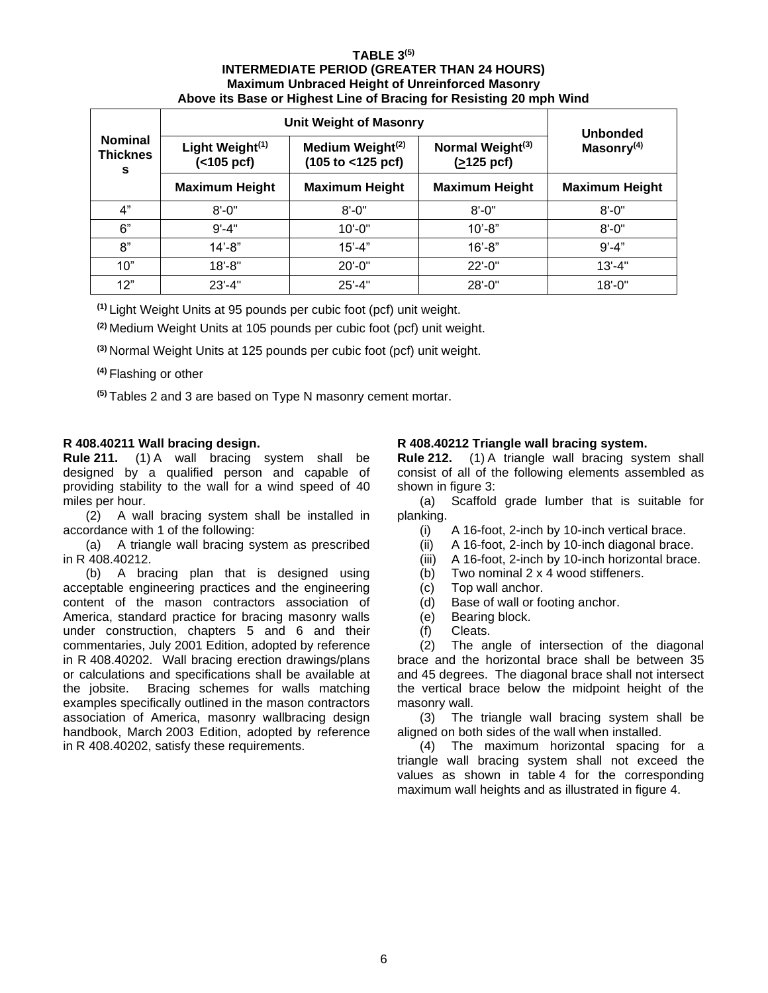### **TABLE 3(5) INTERMEDIATE PERIOD (GREATER THAN 24 HOURS) Maximum Unbraced Height of Unreinforced Masonry Above its Base or Highest Line of Bracing for Resisting 20 mph Wind**

|                                        | <b>Unit Weight of Masonry</b>             | <b>Unbonded</b>                                   |                                                      |                       |  |
|----------------------------------------|-------------------------------------------|---------------------------------------------------|------------------------------------------------------|-----------------------|--|
| <b>Nominal</b><br><b>Thicknes</b><br>s | Light Weight <sup>(1)</sup><br>(<105 pcf) | Medium Weight <sup>(2)</sup><br>(105 to <125 pcf) | Normal Weight <sup>(3)</sup><br>$(2125 \text{ pcf})$ | Masonry $(4)$         |  |
|                                        | <b>Maximum Height</b>                     | <b>Maximum Height</b>                             | <b>Maximum Height</b>                                | <b>Maximum Height</b> |  |
| 4"                                     | $8' - 0''$                                | $8' - 0''$                                        | $8' - 0''$                                           | $8' - 0''$            |  |
| 6"                                     | $9' - 4"$                                 | $10' - 0''$                                       | $10' - 8"$                                           | $8' - 0''$            |  |
| 8"                                     | $14' - 8"$                                | $15' - 4"$                                        | $16' - 8"$                                           | $9' - 4"$             |  |
| 10"                                    | $18 - 8"$                                 | $20' - 0''$                                       | $22 - 0$ "                                           | $13' - 4"$            |  |
| 12"                                    | $23' - 4"$                                | $25' - 4"$                                        | $28' - 0$ "                                          | $18 - 0$ "            |  |

**(1)** Light Weight Units at 95 pounds per cubic foot (pcf) unit weight.

**(2)** Medium Weight Units at 105 pounds per cubic foot (pcf) unit weight.

**(3)** Normal Weight Units at 125 pounds per cubic foot (pcf) unit weight.

**(4)** Flashing or other

**(5)** Tables 2 and 3 are based on Type N masonry cement mortar.

# <span id="page-5-0"></span>**R 408.40211 Wall bracing design.**

**Rule 211.** (1) A wall bracing system shall be designed by a qualified person and capable of providing stability to the wall for a wind speed of 40 miles per hour.

(2) A wall bracing system shall be installed in accordance with 1 of the following:

(a) A triangle wall bracing system as prescribed in R 408.40212.

(b) A bracing plan that is designed using acceptable engineering practices and the engineering content of the mason contractors association of America, standard practice for bracing masonry walls under construction, chapters 5 and 6 and their commentaries, July 2001 Edition, adopted by reference in R 408.40202. Wall bracing erection drawings/plans or calculations and specifications shall be available at the jobsite. Bracing schemes for walls matching examples specifically outlined in the mason contractors association of America, masonry wallbracing design handbook, March 2003 Edition, adopted by reference in R 408.40202, satisfy these requirements.

# <span id="page-5-1"></span>**R 408.40212 Triangle wall bracing system.**

**Rule 212.** (1) A triangle wall bracing system shall consist of all of the following elements assembled as shown in figure 3:

(a) Scaffold grade lumber that is suitable for planking.

- (i) A 16-foot, 2-inch by 10-inch vertical brace.
- (ii) A 16-foot, 2-inch by 10-inch diagonal brace.
- (iii) A 16-foot, 2-inch by 10-inch horizontal brace.
- (b) Two nominal 2 x 4 wood stiffeners.
- (c) Top wall anchor.
- (d) Base of wall or footing anchor.
- (e) Bearing block.
- (f) Cleats.

(2) The angle of intersection of the diagonal brace and the horizontal brace shall be between 35 and 45 degrees. The diagonal brace shall not intersect the vertical brace below the midpoint height of the masonry wall.

(3) The triangle wall bracing system shall be aligned on both sides of the wall when installed.

(4) The maximum horizontal spacing for a triangle wall bracing system shall not exceed the values as shown in table 4 for the corresponding maximum wall heights and as illustrated in figure 4.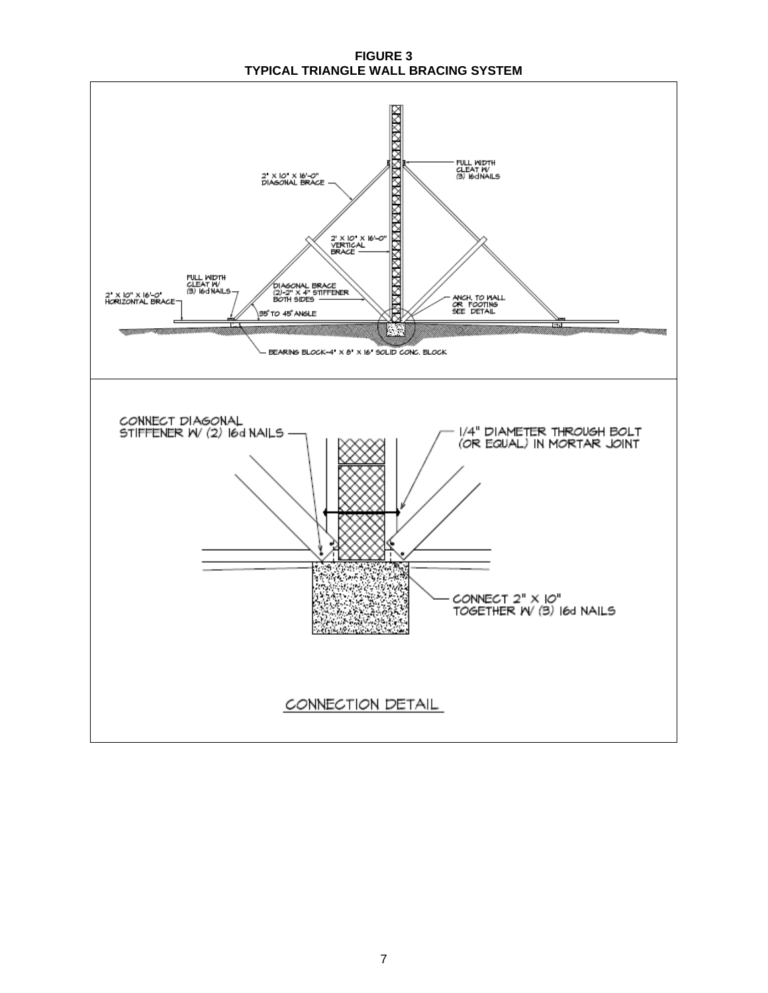**FIGURE 3 TYPICAL TRIANGLE WALL BRACING SYSTEM**

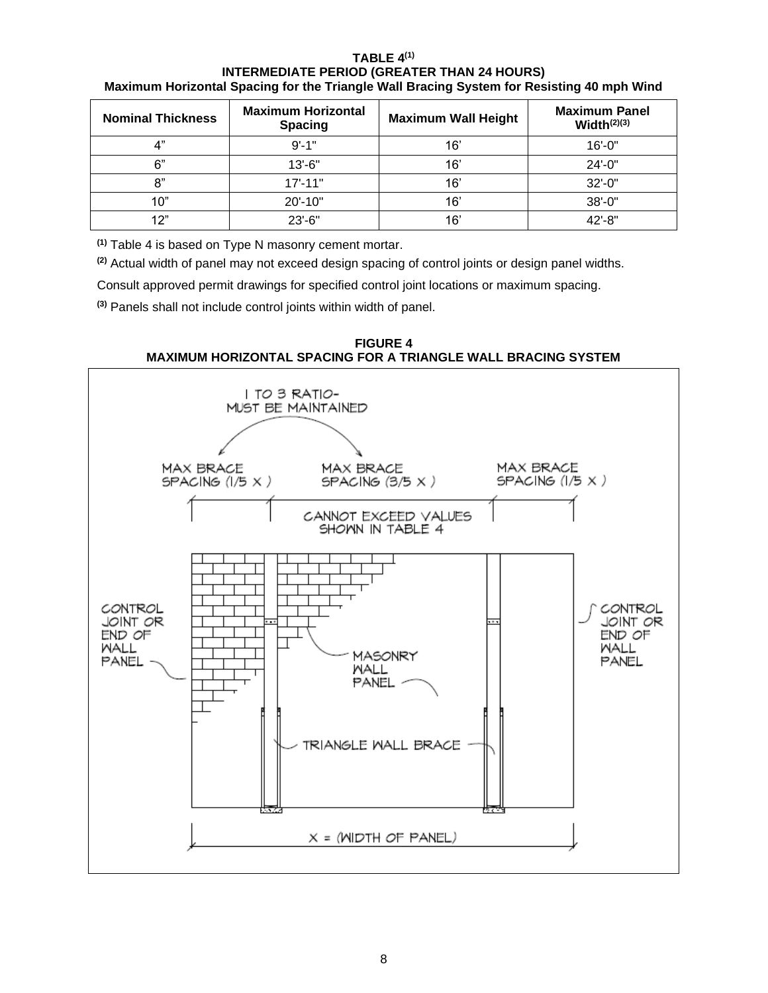## **TABLE 4 (1) INTERMEDIATE PERIOD (GREATER THAN 24 HOURS) Maximum Horizontal Spacing for the Triangle Wall Bracing System for Resisting 40 mph Wind**

| <b>Nominal Thickness</b> | <b>Maximum Horizontal</b><br><b>Spacing</b> | <b>Maximum Wall Height</b> | <b>Maximum Panel</b><br>Width $(2)(3)$ |
|--------------------------|---------------------------------------------|----------------------------|----------------------------------------|
| " ו                      | $9' - 1"$                                   | 16'                        | $16' - 0''$                            |
| 6"                       | $13' - 6"$                                  | 16'                        | $24 - 0"$                              |
| 8"                       | $17' - 11"$                                 | 16'                        | $32 - 0$ "                             |
| 10"                      | 20'-10"                                     | 16'                        | $38 - 0$ "                             |
| 12"                      | $23' - 6''$                                 | 16'                        | 42'-8"                                 |

**(1)** Table 4 is based on Type N masonry cement mortar.

**(2)** Actual width of panel may not exceed design spacing of control joints or design panel widths.

Consult approved permit drawings for specified control joint locations or maximum spacing.

**(3)** Panels shall not include control joints within width of panel.

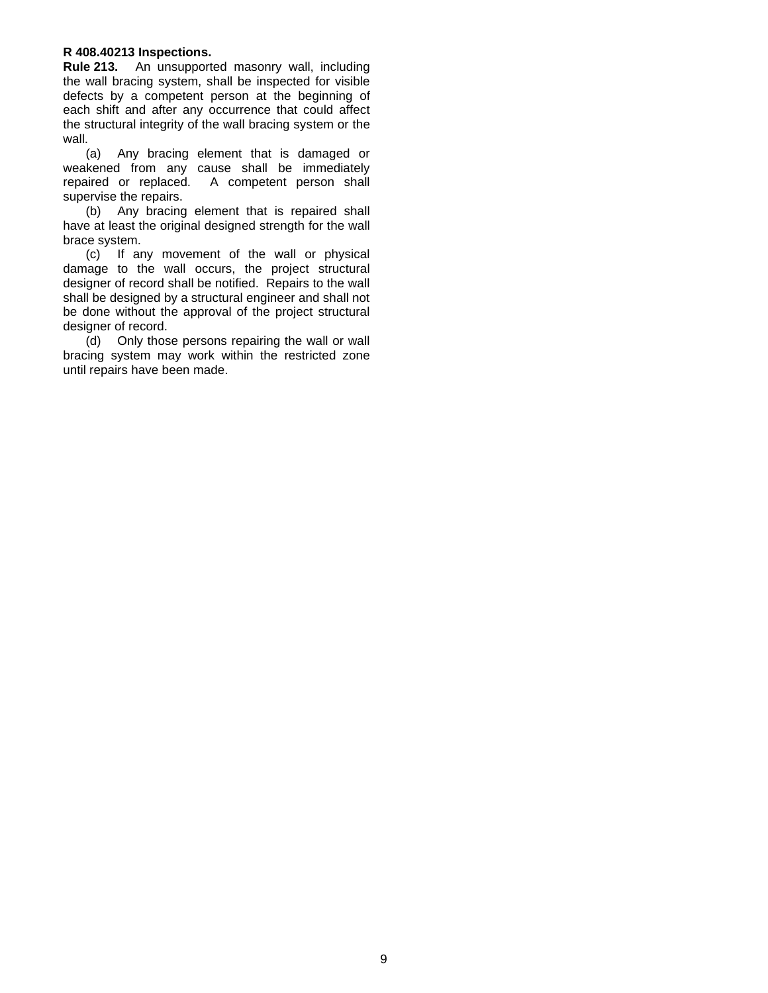## <span id="page-8-0"></span>**R 408.40213 Inspections.**

**Rule 213.** An unsupported masonry wall, including the wall bracing system, shall be inspected for visible defects by a competent person at the beginning of each shift and after any occurrence that could affect the structural integrity of the wall bracing system or the wall.

(a) Any bracing element that is damaged or weakened from any cause shall be immediately repaired or replaced. A competent person shall supervise the repairs.

(b) Any bracing element that is repaired shall have at least the original designed strength for the wall brace system.

(c) If any movement of the wall or physical damage to the wall occurs, the project structural designer of record shall be notified. Repairs to the wall shall be designed by a structural engineer and shall not be done without the approval of the project structural designer of record.

(d) Only those persons repairing the wall or wall bracing system may work within the restricted zone until repairs have been made.